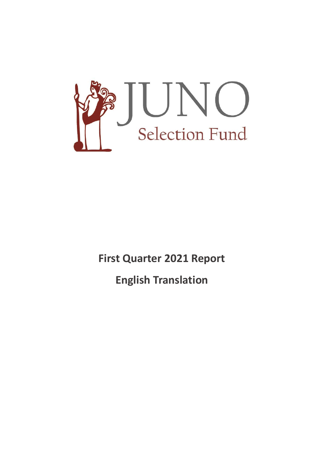

**First Quarter 2021 Report**

**English Translation**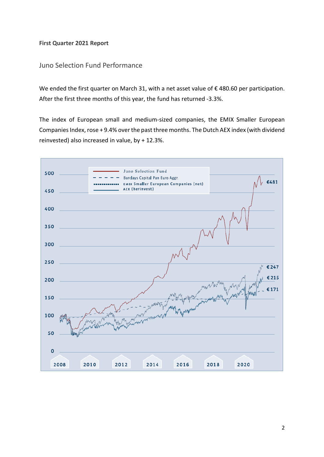## **First Quarter 2021 Report**

# Juno Selection Fund Performance

We ended the first quarter on March 31, with a net asset value of €480.60 per participation. After the first three months of this year, the fund has returned -3.3%.

The index of European small and medium-sized companies, the EMIX Smaller European Companies Index, rose + 9.4% over the past three months. The Dutch AEX index (with dividend reinvested) also increased in value, by + 12.3%.

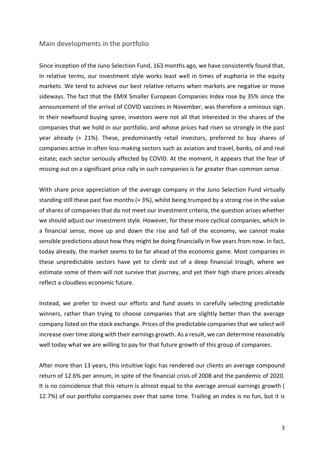## Main developments in the portfolio

Since inception of the Juno Selection Fund, 163 months ago, we have consistently found that, in relative terms, our investment style works least well in times of euphoria in the equity markets. We tend to achieve our best relative returns when markets are negative or move sideways. The fact that the EMIX Smaller European Companies Index rose by 35% since the announcement of the arrival of COVID vaccines in November, was therefore a ominous sign. In their newfound buying spree, investors were not all that interested in the shares of the companies that we hold in our portfolio, and whose prices had risen so strongly in the past year already (+ 21%). These, predominantly retail investors, preferred to buy shares of companies active in often loss-making sectors such as aviation and travel, banks, oil and real estate; each sector seriously affected by COVID. At the moment, it appears that the fear of missing out on a significant price rally in such companies is far greater than common sense.

With share price appreciation of the average company in the Juno Selection Fund virtually standing still these past five months (+ 3%), whilst being trumped by a strong rise in the value of shares of companies that do not meet our investment criteria, the question arises whether we should adjust our investment style. However, for these more cyclical companies, which in a financial sense, move up and down the rise and fall of the economy, we cannot make sensible predictions about how they might be doing financially in five years from now. In fact, today already, the market seems to be far ahead of the economic game. Most companies in these unpredictable sectors have yet to climb out of a deep financial trough, where we estimate some of them will not survive that journey, and yet their high share prices already reflect a cloudless economic future.

Instead, we prefer to invest our efforts and fund assets in carefully selecting predictable winners, rather than trying to choose companies that are slightly better than the average company listed on the stock exchange. Prices of the predictable companies that we select will increase over time along with their earnings growth. As a result, we can determine reasonably well today what we are willing to pay for that future growth of this group of companies.

After more than 13 years, this intuitive logic has rendered our clients an average compound return of 12.6% per annum, in spite of the financial crisis of 2008 and the pandemic of 2020. It is no coincidence that this return is almost equal to the average annual earnings growth ( 12.7%) of our portfolio companies over that same time. Trailing an index is no fun, but it is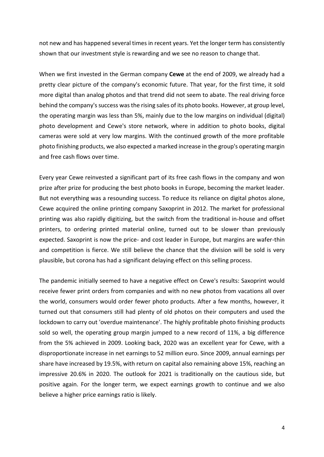not new and has happened several times in recent years. Yet the longer term has consistently shown that our investment style is rewarding and we see no reason to change that.

When we first invested in the German company **Cewe** at the end of 2009, we already had a pretty clear picture of the company's economic future. That year, for the first time, it sold more digital than analog photos and that trend did not seem to abate. The real driving force behind the company's success was the rising sales of its photo books. However, at group level, the operating margin was less than 5%, mainly due to the low margins on individual (digital) photo development and Cewe's store network, where in addition to photo books, digital cameras were sold at very low margins. With the continued growth of the more profitable photo finishing products, we also expected a marked increase in the group's operating margin and free cash flows over time.

Every year Cewe reinvested a significant part of its free cash flows in the company and won prize after prize for producing the best photo books in Europe, becoming the market leader. But not everything was a resounding success. To reduce its reliance on digital photos alone, Cewe acquired the online printing company Saxoprint in 2012. The market for professional printing was also rapidly digitizing, but the switch from the traditional in-house and offset printers, to ordering printed material online, turned out to be slower than previously expected. Saxoprint is now the price- and cost leader in Europe, but margins are wafer-thin and competition is fierce. We still believe the chance that the division will be sold is very plausible, but corona has had a significant delaying effect on this selling process.

The pandemic initially seemed to have a negative effect on Cewe's results: Saxoprint would receive fewer print orders from companies and with no new photos from vacations all over the world, consumers would order fewer photo products. After a few months, however, it turned out that consumers still had plenty of old photos on their computers and used the lockdown to carry out 'overdue maintenance'. The highly profitable photo finishing products sold so well, the operating group margin jumped to a new record of 11%, a big difference from the 5% achieved in 2009. Looking back, 2020 was an excellent year for Cewe, with a disproportionate increase in net earnings to 52 million euro. Since 2009, annual earnings per share have increased by 19.5%, with return on capital also remaining above 15%, reaching an impressive 20.6% in 2020. The outlook for 2021 is traditionally on the cautious side, but positive again. For the longer term, we expect earnings growth to continue and we also believe a higher price earnings ratio is likely.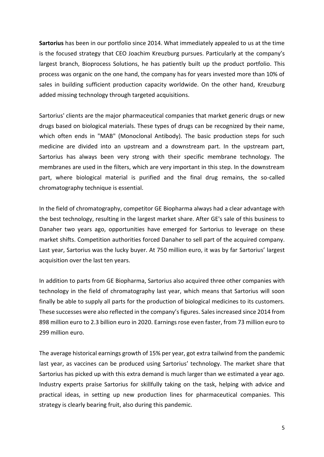**Sartorius** has been in our portfolio since 2014. What immediately appealed to us at the time is the focused strategy that CEO Joachim Kreuzburg pursues. Particularly at the company's largest branch, Bioprocess Solutions, he has patiently built up the product portfolio. This process was organic on the one hand, the company has for years invested more than 10% of sales in building sufficient production capacity worldwide. On the other hand, Kreuzburg added missing technology through targeted acquisitions.

Sartorius' clients are the major pharmaceutical companies that market generic drugs or new drugs based on biological materials. These types of drugs can be recognized by their name, which often ends in "MAB" (Monoclonal Antibody). The basic production steps for such medicine are divided into an upstream and a downstream part. In the upstream part, Sartorius has always been very strong with their specific membrane technology. The membranes are used in the filters, which are very important in this step. In the downstream part, where biological material is purified and the final drug remains, the so-called chromatography technique is essential.

In the field of chromatography, competitor GE Biopharma always had a clear advantage with the best technology, resulting in the largest market share. After GE's sale of this business to Danaher two years ago, opportunities have emerged for Sartorius to leverage on these market shifts. Competition authorities forced Danaher to sell part of the acquired company. Last year, Sartorius was the lucky buyer. At 750 million euro, it was by far Sartorius' largest acquisition over the last ten years.

In addition to parts from GE Biopharma, Sartorius also acquired three other companies with technology in the field of chromatography last year, which means that Sartorius will soon finally be able to supply all parts for the production of biological medicines to its customers. These successes were also reflected in the company's figures. Salesincreased since 2014 from 898 million euro to 2.3 billion euro in 2020. Earnings rose even faster, from 73 million euro to 299 million euro.

The average historical earnings growth of 15% per year, got extra tailwind from the pandemic last year, as vaccines can be produced using Sartorius' technology. The market share that Sartorius has picked up with this extra demand is much larger than we estimated a year ago. Industry experts praise Sartorius for skillfully taking on the task, helping with advice and practical ideas, in setting up new production lines for pharmaceutical companies. This strategy is clearly bearing fruit, also during this pandemic.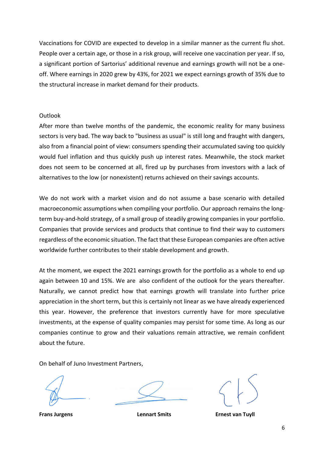Vaccinations for COVID are expected to develop in a similar manner as the current flu shot. People over a certain age, or those in a risk group, will receive one vaccination per year. If so, a significant portion of Sartorius' additional revenue and earnings growth will not be a oneoff. Where earnings in 2020 grew by 43%, for 2021 we expect earnings growth of 35% due to the structural increase in market demand for their products.

### **Outlook**

After more than twelve months of the pandemic, the economic reality for many business sectors is very bad. The way back to "business as usual" is still long and fraught with dangers, also from a financial point of view: consumers spending their accumulated saving too quickly would fuel inflation and thus quickly push up interest rates. Meanwhile, the stock market does not seem to be concerned at all, fired up by purchases from investors with a lack of alternatives to the low (or nonexistent) returns achieved on their savings accounts.

We do not work with a market vision and do not assume a base scenario with detailed macroeconomic assumptions when compiling your portfolio. Our approach remains the longterm buy-and-hold strategy, of a small group of steadily growing companies in your portfolio. Companies that provide services and products that continue to find their way to customers regardless of the economic situation. The fact that these European companies are often active worldwide further contributes to their stable development and growth.

At the moment, we expect the 2021 earnings growth for the portfolio as a whole to end up again between 10 and 15%. We are also confident of the outlook for the years thereafter. Naturally, we cannot predict how that earnings growth will translate into further price appreciation in the short term, but this is certainly not linear as we have already experienced this year. However, the preference that investors currently have for more speculative investments, at the expense of quality companies may persist for some time. As long as our companies continue to grow and their valuations remain attractive, we remain confident about the future.

On behalf of Juno Investment Partners,



**Frans Jurgens Lennart Smits Ernest van Tuyll**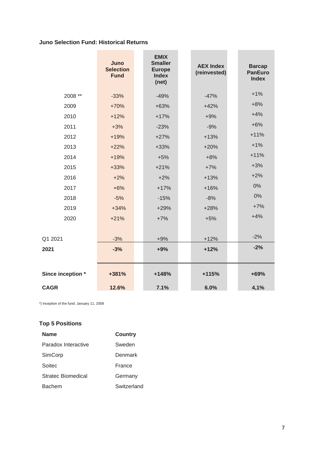## **Juno Selection Fund: Historical Returns**

|                   | Juno<br><b>Selection</b><br><b>Fund</b> | <b>EMIX</b><br><b>Smaller</b><br><b>Europe</b><br><b>Index</b><br>(net) | <b>AEX Index</b><br>(reinvested) | <b>Barcap</b><br><b>PanEuro</b><br><b>Index</b> |
|-------------------|-----------------------------------------|-------------------------------------------------------------------------|----------------------------------|-------------------------------------------------|
| 2008 **           | $-33%$                                  | $-49%$                                                                  | $-47%$                           | $+1%$                                           |
| 2009              | $+70%$                                  | $+63%$                                                                  | $+42%$                           | $+8%$                                           |
| 2010              | $+12%$                                  | $+17%$                                                                  | $+9%$                            | $+4%$                                           |
| 2011              | $+3%$                                   | $-23%$                                                                  | $-9%$                            | $+6%$                                           |
| 2012              | $+19%$                                  | $+27%$                                                                  | $+13%$                           | $+11%$                                          |
| 2013              | $+22%$                                  | $+33%$                                                                  | $+20%$                           | $+1%$                                           |
| 2014              | $+19%$                                  | $+5%$                                                                   | $+8%$                            | $+11%$                                          |
| 2015              | $+33%$                                  | $+21%$                                                                  | $+7%$                            | $+3%$                                           |
| 2016              | $+2%$                                   | $+2%$                                                                   | $+13%$                           | $+2%$                                           |
| 2017              | $+6%$                                   | $+17%$                                                                  | $+16%$                           | 0%                                              |
| 2018              | $-5%$                                   | $-15%$                                                                  | $-8%$                            | 0%                                              |
| 2019              | $+34%$                                  | $+29%$                                                                  | $+28%$                           | $+7%$                                           |
| 2020              | $+21%$                                  | $+7%$                                                                   | $+5%$                            | $+4%$                                           |
|                   |                                         |                                                                         |                                  |                                                 |
| Q1 2021           | $-3%$                                   | $+9%$                                                                   | $+12%$                           | $-2%$                                           |
| 2021              | $-3%$                                   | $+9%$                                                                   | $+12%$                           | $-2%$                                           |
|                   |                                         |                                                                         |                                  |                                                 |
| Since inception * | +381%                                   | +148%                                                                   | +115%                            | +69%                                            |
| <b>CAGR</b>       | 12.6%                                   | 7.1%                                                                    | 6.0%                             | 4,1%                                            |

\*) Inception of the fund: January 11, 2008

## **Top 5 Positions**

| <b>Name</b>         | <b>Country</b> |  |
|---------------------|----------------|--|
| Paradox Interactive | Sweden         |  |
| SimCorp             | Denmark        |  |
| Soitec              | France         |  |
| Stratec Biomedical  | Germany        |  |
| <b>Bachem</b>       | Switzerland    |  |